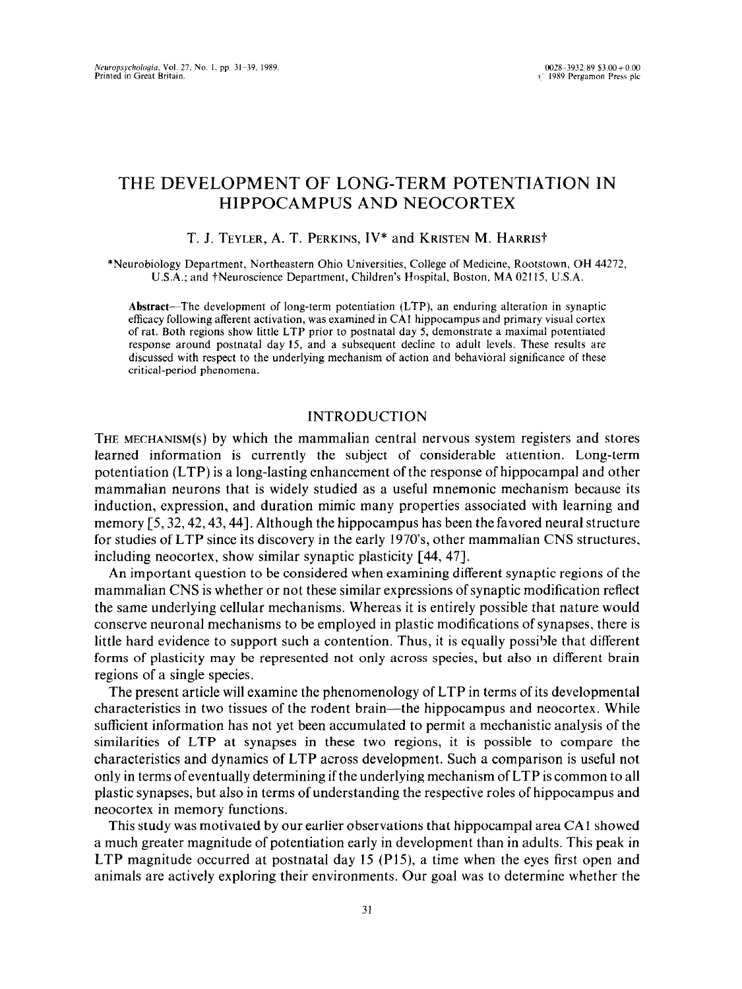# THE DEVELOPMENT OF LONG-TERM POTENTIATION IN HIPPOCAMPUS AND NEOCORTEX

## T. J. TEYLER, A. T. PERKINS, IV\* and KRISTEN M. HARRIST

\*Neurobiology Department, Northeastern Ohio Universities, College of Medicine, Rootstown, OH 44272, U.S.A.; and tNeuroscience Department, Children's Hospital, Boston, MA 02115, U.S.A.

**Abstract-The** development of long-term potentiation (LTP), an enduring alteration in synaptic efficacy following atferent activation, was examined in CA1 hippocampus and primary visual cortex of rat. Both regions show little LTP prior to postnatal day 5, demonstrate a maximal potentiated response around postnatal day 15, and a subsequent decline to **adult levels.** These results are discussed with respect to the underlying mechanism of action and behavioral significance of these critical-period phenomena.

### INTRODUCTION

THE MECHANISM(S) by which the mammalian central nervous system registers and stores learned information is currently the subject of considerable attention. Long-term potentiation (LTP) is a long-lasting enhancement of the response of hippocampal and other mammalian neurons that is widely studied as a useful mnemonic mechanism because its induction, expression, and duration mimic many properties associated with learning and memory [5,32,42,43,44]. Although the hippocampus has been the favored neural structure for studies of LTP since its discovery in the early 1970's, other mammalian CNS structures, including neocortex, show similar synaptic plasticity [44, 471.

An important question to be considered when examining different synaptic regions of the mammalian CNS is whether or not these similar expressions of synaptic modification reflect the same underlying cellular mechanisms. Whereas it is entirely possible that nature would conserve neuronal mechanisms to be employed in plastic modifications of synapses, there is little hard evidence to support such a contention. Thus, it is equally possible that different forms of plasticity may be represented not only across species, but also in different brain regions of a single species.

The present article will examine the phenomenology of LTP in terms of its developmental characteristics in two tissues of the rodent brain-the hippocampus and neocortex. While sufficient information has not yet been accumulated to permit a mechanistic analysis of the similarities of LTP at synapses in these two regions, it is possible to compare the characteristics and dynamics of LTP across development. Such a comparison is useful not only in terms of eventually determining if the underlying mechanism of LTP is common to all plastic synapses, but also in terms of understanding the respective roles of hippocampus and neocortex in memory functions.

This study was motivated by our earlier observations that hippocampal area CA1 showed a much greater magnitude of potentiation early in development than in adults. This peak in LTP magnitude occurred at postnatal day 15 (P15), a time when the eyes first open and animals are actively exploring their environments. Our goal was to determine whether the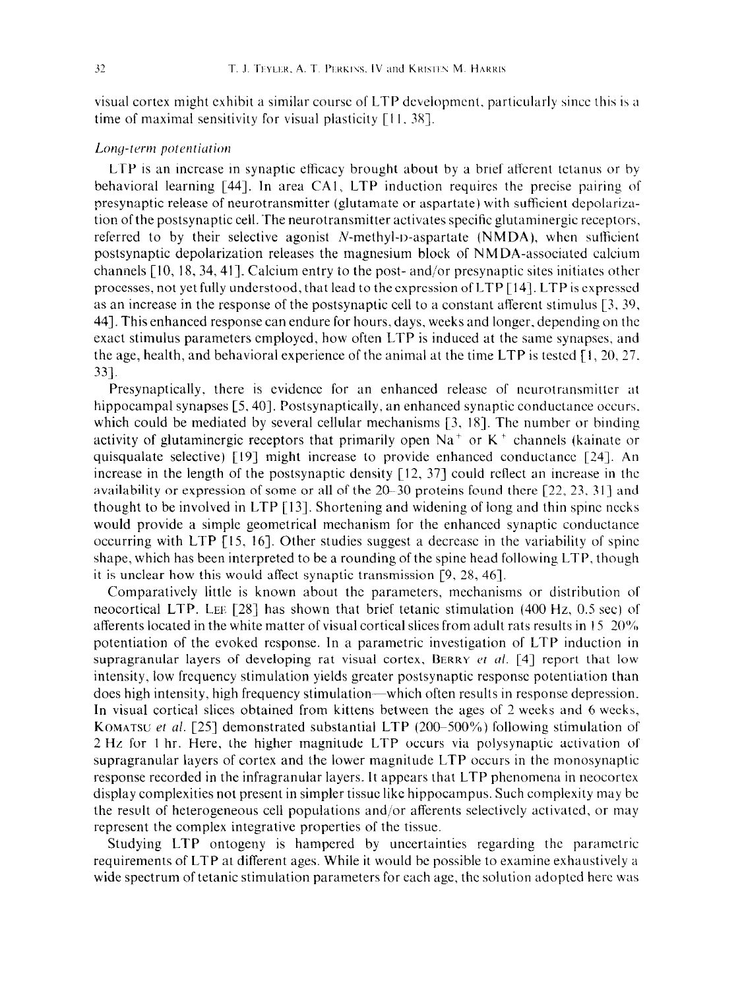visual cortex might exhibit a similar course of LTP development, particularly since this is a time of maximal sensitivity for visual plasticity  $\lceil 11, 38 \rceil$ .

### Long-term potentiation

LTP is an increase in synaptic efficacy brought about by a brief afferent tetanus or by behavioral learning [44]. In area CA1, LTP induction requires the precise pairing of presynaptic release of neurotransmitter (glutamate or aspartate) with sufficient depolarization of the postsynaptic cell. The neurotransmitter activates specific glutaminergic receptors, referred to by their selective agonist N-methyl-t>-aspartate (NMDA), **when** sutficient postsynaptic depolarization releases the magnesium block of NM DA-associated calcium channels [IO, 18, 34,411. Calcium entry to the post- and/or presynaptic sites initiates other processes, not yet fully understood, that lead to the expression of LTP [ 141. LTP is expressed as an increase in the response of the postsynaptic cell to a constant aflercnt stimulus 13. 39, 441. This enhanced response can endure for hours, days, weeks and longer. depending on the exact stimulus parameters employed, how often LTP is induced at the same synapses, and the age, health, and behavioral experience of the animal at the time LTP is tested  $[1, 20, 27,$ 331.

Presynaptically. there is evidence for an enhanced release of ncurotransmitter at hippocampal synapses [5, 40]. Postsynaptically, an enhanced synaptic conductance occurs, which could be mediated by several cellular mechanisms  $[3, 18]$ . The number or binding activity of glutaminergic receptors that primarily open  $Na<sup>+</sup>$  or  $K<sup>+</sup>$  channels (kainate or quisqualate selective) [19] might increase to provide enhanced conductance [24]. An increase in the length of the postsynaptic density  $[12, 37]$  could reflect an increase in the availability or expression of some or all of the 2@-30 proteins fcund there [22, 23, 3 I] and thought to be involved in LTP [ 131. Shortening and widening of long and thin spine necks would provide a simple geometrical mechanism for the enhanced synaptic conductance occurring with LTP [IS. 161. Other studies suggest a decrease in the variability of spine shape, which has been interpreted to be a rounding of the spine head following LTP, though it is unclear how this would affect synaptic transmission [9, 28, 461.

Comparatively little is known about the parameters, mechanisms or distribution of neocortical LTP. LEE [28] has shown that brief tetanic stimulation (400 Hz, 0.5 sec) of afferents located in the white matter of visual cortical slices from adult rats results in 15 20% potentiation of the evoked response. In a parametric investigation of LTP induction in supragranular layers of developing rat visual cortex, BERRY *et al.* [4] report that low intensity, low frequency stimulation yields greater postsynaptic response potentiation than does high intensity, high frequency stimulation—which often results in response depression. In visual cortical slices obtained from kittens between the ages of 2 weeks and 6 weeks. **KOMATSU et al.** [25] demonstrated substantial LTP (200–500%) following stimulation of 2 Hz for 1 hr. Here, the higher magnitude LTP occurs via polysynaptic activation of supragranular layers of cortex and the lower magnitude LTP occurs in the monosynaptic response recorded in the infragranular layers. It appears that LTP phenomena in neocortex display complexities not present in simpler tissue like hippocampus. Such complexity may be the result of heterogeneous cell populations and/or afferents selectively activated, or may represent the complex integrative properties of the tissue.

Studying LTP ontogeny is hampered by uncertainties regarding the parametric requirements of LTP at different ages. While it would be possible to examine exhaustively a wide spectrum of tetanic stimulation parameters for each age, the solution adopted here was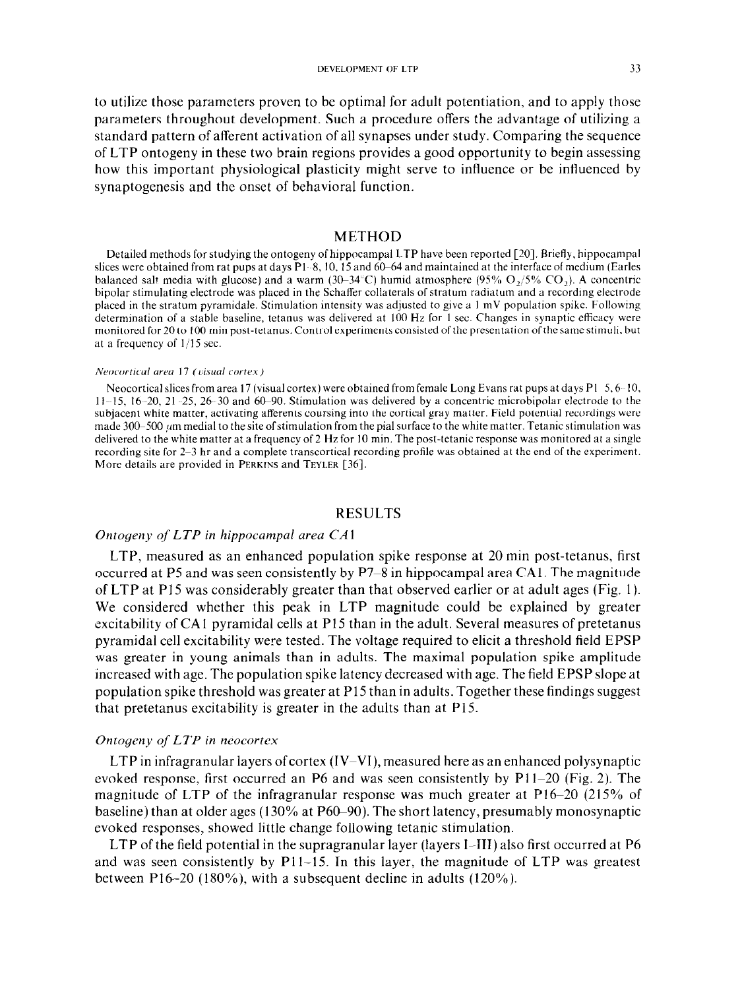to utilize those parameters proven to be optimal for adult potentiation, and to apply those parameters throughout development. Such a procedure offers the advantage of utilizing a standard pattern of afferent activation of all synapses under study. Comparing the sequence of LTP ontogeny in these two brain regions provides a good opportunity to begin assessing how this important physiological plasticity might serve to influence or be influenced by synaptogenesis and the onset of behavioral function.

#### METHOD

Detailed methods for studying the ontogeny of hippocampal LTP have been reported [20]. Briefly. hippocampal slices were obtained from rat pups at days  $P1 - 8$ , 10, 15 and 60–64 and maintained at the interface of medium (Earles balanced salt media with glucose) and a warm  $(30-34^{\circ}C)$  humid atmosphere  $(95\% \text{ O},\frac{1}{5}\% \text{ CO},\frac{1}{5})$ . A concentric bipolar stimulating electrode was placed in the Schaffer collaterals of stratum radiatum and a recording electrode placed in the stratum pyramidale. Stimulation intensity was adjusted to give a I mV population spike. Following determination of a stable baseline, tetanus was delivered at 100 Hz for I sec. Changes in synaptic efficacy were monitored for 20 to 100 min post-tetanus. Control experiments consisted of the presentation ofthe same stimuli, but at a frequency of  $1/15$  sec.

#### $N$ eocortical area 17 *(visual cortex)*

Neocortical slices from area 17 (visual cortex) were obtained from female Long Evans rat pups at days P1  $5,6-10$ , 11-15, 16-20, 21 -25, 26-30 and 60-90. Stimulation was delivered by a concentric microbipolar electrode to the subjacent white matter. activating afferents coursing into the cortical gray matter. Field potential recordings were made 300-500  $\mu$ m medial to the site of stimulation from the pial surface to the white matter. Tetanic stimulation was delivered to the white matter at a frequency of 2 Hz for 10 min. The post-tetanic response was monitored at a single recording site for 2-3 hr and a complete transcortical recording profile was obtained at the end of the experiment. More details are provided in **PERKINS** and **TEYLER [36].** 

### RESULTS

#### *Ontogeny of LTP in hippocumpal area CA1*

LTP, measured as an enhanced population spike response at 20 min post-tetanus, first occurred at P5 and was seen consistently by P7-8 in hippocampal area CA I. The magnitude of LTP at P15 was considerably greater than that observed earlier or at adult ages (Fig. 1). We considered whether this peak in LTP magnitude could be explained by greater excitability of CA1 pyramidal cells at P15 than in the adult. Several measures of pretetanus pyramidal cell excitability were tested. The voltage required to elicit a threshold field EPSP was greater in young animals than in adults. The maximal population spike amplitude increased with age. The population spike latency decreased with age. The field EPSP slope at population spike threshold was greater at P15 than in adults. Together these findings suggest that pretetanus excitability is greater in the adults than at P15.

### *Ontogeny of LTP in neocortex*

 $LTP$  in infragranular layers of cortex  $(IV-VI)$ , measured here as an enhanced polysynaptic evoked response, first occurred an P6 and was seen consistently by Pl l-20 (Fig. 2). The magnitude of LTP of the infragranular response was much greater at P16-20 (215% of baseline) than at older ages (130% at P60–90). The short latency, presumably monosynaptic evoked responses, showed little change following tetanic stimulation.

LTP of the field potential in the supragranular layer (layers I-III) also first occurred at P6 and was seen consistently by  $P11-15$ . In this layer, the magnitude of LTP was greatest between P16-20 (180%), with a subsequent decline in adults (120%).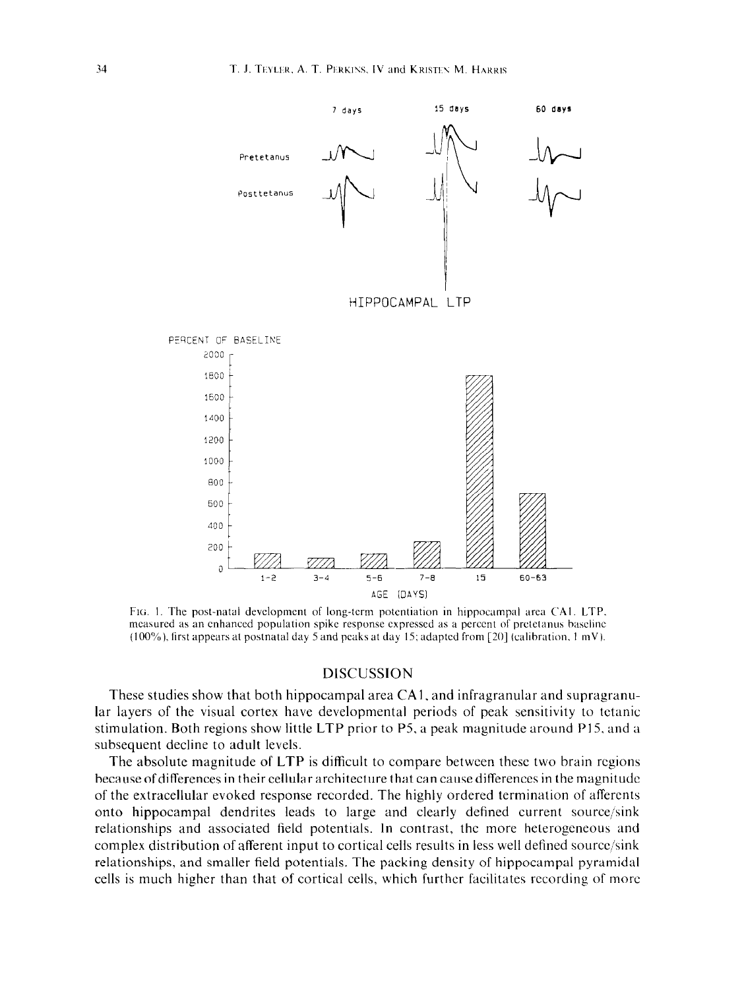

FIG. 1. The post-natal development of long-term potentiation in hippocampal area CA1. LTP. measured as an enhanced population spike response expressed as a percent of pretetanus baseline (100%), first appears at postnatal day 5 and peaks at day 15; adapted from [20] (calibration,  $1 \text{ mV}$ ).

#### DISCUSSION

These studies show that both hippocampal area CAI, and infragranular and supragranular layers of the visual cortex have developmental periods of peak sensitivity to tetanic stimulation. Both regions show little LTP prior to P5, a peak magnitude around P15, and a subsequent decline to adult levels.

The absolute magnitude of LTP is difficult to compare between these two brain regions because of differences in their cellular architecture that can cause differences in the magnitude of the extracellular evoked response recorded. The highly ordered termination of affercnts onto hippocampal dendrites leads to large and clearly defined current source/sink relationships and associated field potentials. In contrast, the more heterogeneous and complex distribution of afferent input to cortical cells results in less well defined source/sink relationships, and smaller field potentials. The packing density of hippocampal pyramidal cells is much higher than that of cortical cells, which further facilitates recording of more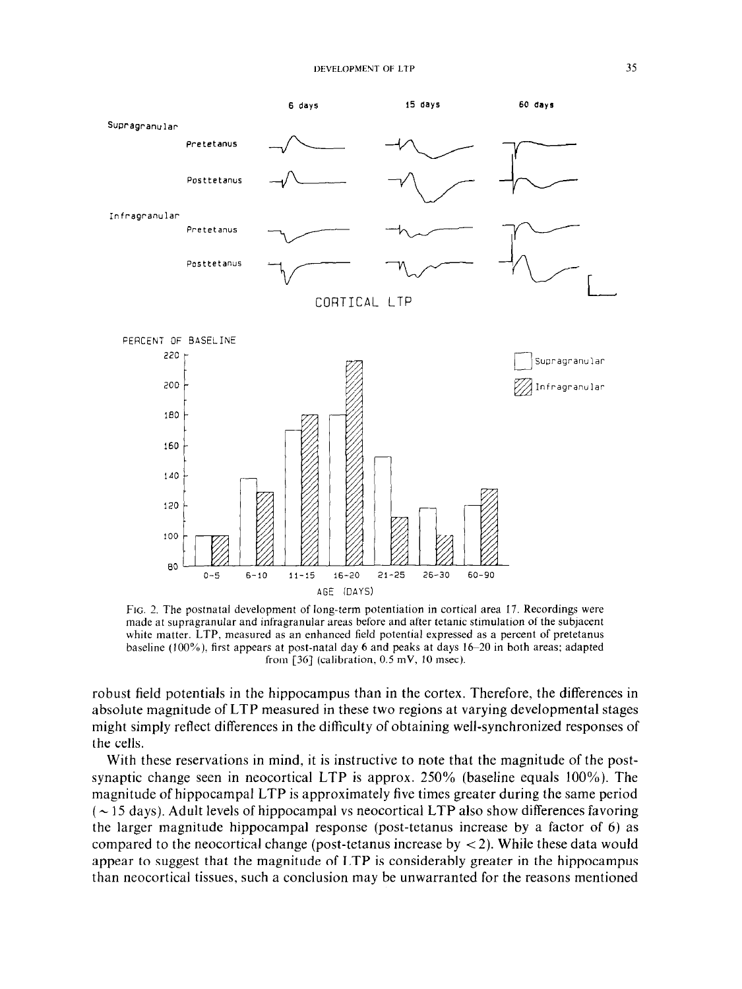

**FIG. 2.** The postnatal development of long-term potentiation in cortical area 17. Recordings were made at supragranular and infragranular areas before and after tetanic stimulation of the subjacent white matter. LTP, measured as an enhanced field potential expressed as a percent of pretetanus baseline (100%), first appears at post-natal day 6 and peaks at days 16-20 in both areas; adapted from  $[36]$  (calibration, 0.5 mV, 10 msec).

robust field potentials in the hippocampus than in the cortex. Therefore, the differences in absolute magnitude of LTP measured in these two regions at varying developmental stages might simply reflect differences in the difficulty of obtaining well-synchronized responses of the cells.

With these reservations in mind, it is instructive to note that the magnitude of the postsynaptic change seen in neocortical LTP is approx. 250% (baseline equals 100%). The magnitude of hippocampal LTP is approximately five times greater during the same period  $\sim$  15 days). Adult levels of hippocampal vs neocortical LTP also show differences favoring the larger magnitude hippocampal response (post-tetanus increase by a factor of 6) as compared to the neocortical change (post-tetanus increase by  $\lt 2$ ). While these data would appear to suggest that the magnitude of LTP is considerably greater in the hippocampus than neocortical tissues, such a conclusion may be unwarranted for the reasons mentioned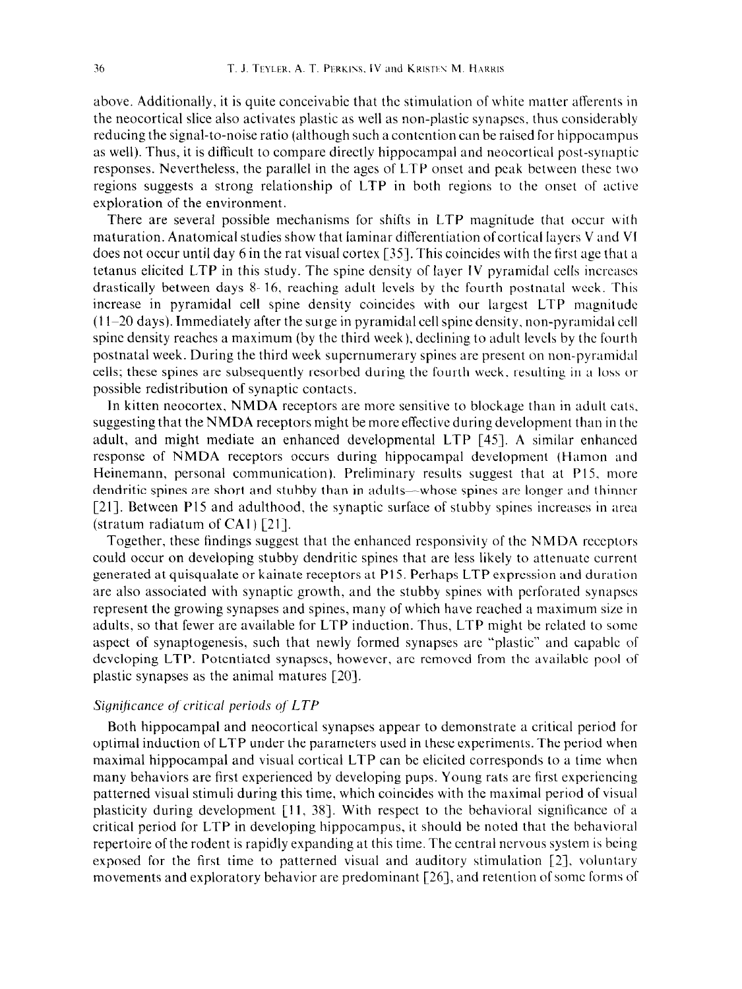above. Additionally, it is quite conceivable that the stimulation of white matter afferents in the neocortical slice also activates plastic as well as non-plastic synapses, thus considerably reducing the signal-to-noise ratio (although such a contention can be raised for hippocampus as well). Thus, it is difficult to compare directly hippocampal and neocortical post-synaptic responses. Nevertheless, the parallel in the ages of LTP onset and peak between these two regions suggests a strong relationship of LTP in both regions to the onset of active exploration of the environment.

There are several possible mechanisms for shifts in LTP magnitude that occur with maturation. Anatomical studies show that iaminar differentiation ofcortical layers V and VI does not occur until day 6 in the rat visual cortex [35]. This coincides with the first age that a tetanus elicited LTP in this study. The spine density of layer IV pyramidal cells incrcascs drastically between days 8 16, reaching adult levels by the fourth postnatal week. This increase in pyramidal cell spine density coincides with our largest LTP magnitude  $(11-20 \text{ days})$ . Immediately after the surge in pyramidal cell spine density, non-pyramidal cell spine density reaches a maximum (by the third week), declining to adult levels by the fourth postnatal week. During the third week supernumerary spines are present on non-pyramidal cells; these spines are subsequently resorbed during the fourth week, resulting in a loss or possible redistribution of synaptic contacts.

In kitten neocortex, NMDA receptors are more sensitive to blockage than in adult cats, suggesting that the NMDA receptors might be more effective during development than in the adult, and might mediate an enhanced developmental LTP [45]. A similar enhanced response of NMDA receptors occurs during hippocampal development (Hamon and Heinemann, personal communication). Preliminary results suggest that at P15, more dendritic spines are short and stubby than in adults—whose spines are longer and thinner [21]. Between P15 and adulthood, the synaptic surface of stubby spines increases in arca (stratum radiatum of CA1)  $[21]$ .

Together, these findings suggest that the enhanced rcsponsivity of the NMDA rcccptors could occur on developing stubby dendritic spines that are less likely to attenuate current generated at quisqualate or kainate receptors at P15. Perhaps LTP expression and duration are also associated with synaptic growth, and the stubby spines with perforated synapses represent the growing synapses and spines, many of which have reached a maximum size in adults, so that fewer arc available for LTP induction. Thus, LTP might be related to some aspect of synaptogenesis, such that newly formed synapses are "plastic" and capable of developing LTP. Potentiated synapses, however, are removed from the available pool of plastic synapses as the animal matures [20].

#### *Significance of critical periods of LTP*

Both hippocampal and neocortical synapses appear to demonstrate a critical period for optimal induction of LTP under the parameters used in these experiments. The period when maximal hippocampal and visual cortical LTP can be elicited corresponds to a time when many behaviors are first experienced by developing pups. Young rats are first experiencing patterned visual stimuli during this time, which coincides with the maximal period of visual plasticity during development  $[11, 38]$ . With respect to the behavioral significance of a critical period for LTP in developing hippocampus, it should be noted that the behavioral repertoire of the rodent is rapidly expanding at this time. The central nervous system is being exposed for the first time to patterned visual and auditory stimulation [2], voluntary movements and exploratory behavior are predominant [26], and retention of some forms of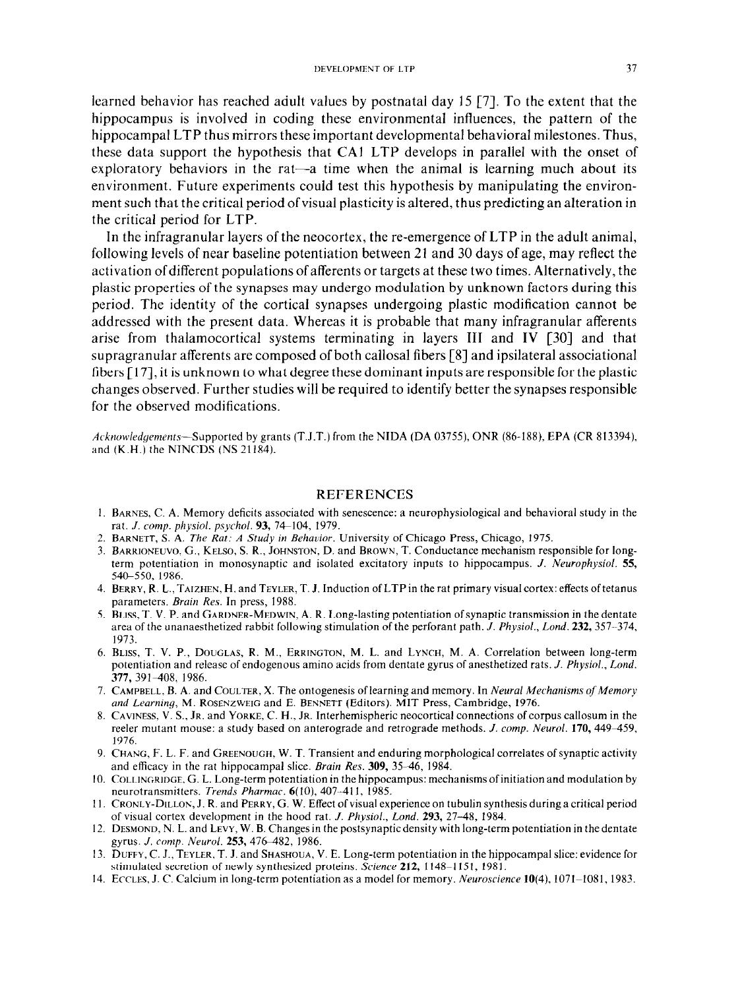learned behavior has reached adult values by postnatal day 15 [7]. To the extent that the hippocampus is involved in coding these environmental influences, the pattern of the hippocampal LTP thus mirrors these important developmental behavioral milestones. Thus, these data support the hypothesis that CA1 LTP develops in parallel with the onset of exploratory behaviors in the rat—a time when the animal is learning much about its environment. Future experiments could test this hypothesis by manipulating the environment such that the critical period of visual plasticity is altered, thus predicting an alteration in the critical period for LTP.

In the infragranular layers of the neocortex, the re-emergence of LTP in the adult animal, following levels of near baseline potentiation between 21 and 30 days of age, may reflect the activation ofdifferent populations of afferents or targets at these two times. Alternatively, the plastic properties of the synapses may undergo modulation by unknown factors during this period. The identity of the cortical synapses undergoing plastic modification cannot be addressed with the present data. Whereas it is probable that many infragranular afferents arise from thalamocortical systems terminating in layers III and IV [30] and that supragranular afferents are composed of both callosal fibers [8] and ipsilateral associational fibers [ 171, it is unknown to what degree these dominant inputs are responsible for the plastic changes observed. Further studies will be required to identify better the synapses responsible for the observed modifications.

Acknowledgements-Supported by grants (T.J.T.) from the NIDA (DA 03755), ONR (86-188), EPA (CR 813394), and (K.H.) the NINCDS (NS 21184).

#### **REFERENCES**

- 1. BARNES, C. A. Memory deficits associated with senescence: a neurophysiological and behavioral study in the rat. *J. camp. p12ysiol. psychol.* 93, 74-104, 1979.
- 2. BARNETT, S. A. *The Rat: A Study in Behacior.* University of Chicago Press, Chicago, 1975.
- 3. BARRIONEUVO. G., KELSO, S. R., JOHNSTON. D. and BROWN, T. Conductance mechanism responsible for longterm potentiation in monosynaptic and isolated excitatory inputs to hippocampus. *J.* Neurophysiol. 55, 540-550, 1986.
- 4. BERRY, R. L., TAIZHEN, H. and TEYLER, T. J. Induction of LTP in the rat primary visual cortex: effects of tetanus parameters. *Brain Res.* In press, 1988.
- 5. BLISS, 1'. V. P. and GARDNER-MEDWIN, A. R. Long-lasting potentiation ofsynaptic transmission in the dentate area of the unanaesthetized rabbit following stimulation of the perforant path. *J. Physiol., Land. 232,357.-374, 1973.*
- *6.* BLISS, T. V. P., DOUGLAS, R. M., ERKINGTON, M. L. and LYNCH, M. A. Correlation between long-term potentiation and release of endogenous amino acids from dentate gyrus of anesthetized rats. *J. Physiol., Land. 377, 391408, 1986.*
- 7. CAMPBELL, B. A. and COULTER, X. The ontogenesis of learning and memory. In *Neural Mechanisms of Memory* and Learning, M. ROSENZWEIG and E. BENNETT (Editors). MIT Press, Cambridge, 1976.
- 8. CAVINESS, V. S., JR. and YORKE, C. H., JR. Interhemispheric neocortical connections of corpus callosum in the reeler mutant mouse: a study based on anterograde and retrograde methods. *J. comp. Neurol.* **170, 449–459**, 1976.
- 9. **CHANG,** F. L. F. and GREENOUCH, W. T. Transient and enduring morphological correlates of synaptic activity and efficacy in the rat hippocampal slice. *Brain Res.* 309, 35-46, 1984.
- IO. COLLINGRIDGE. G. L. Long-term potentiation in the hippocampus: mechanisms ofinitiation and modulation by neurotransmitters. *Trends Pharmac. 6(10), 407~411, 1985.*
- Il. CRONLY-DILLOK, J. R. and PERRY, G. W. Effect of visual experience on tubulin synthesis during a critical period of visual cortex development in the hood rat. *J. Physiol., Lond. 293, 27-48, 1984.*
- *12.* DESMOND, N. L. and LEVY, W. B. Changes in the postsynaptic density with long-term potentiation in the dentate gyrus. *J. camp. Neural.* 253, 47&482, 1986.
- 13. DUFFY, C. J., TEYLER, T. J. and SHASHOUA, V. E. Long-term potentiation in the hippocampal slice: evidence for stimulated secretion of newly synthesized proteins. *Science* 212, 1148-l 151. 1981.
- 14. ECCLES, J. C. Calcium in long-term potentiation as a model for memory. Neuroscience 10(4), 1071-1081, 1983.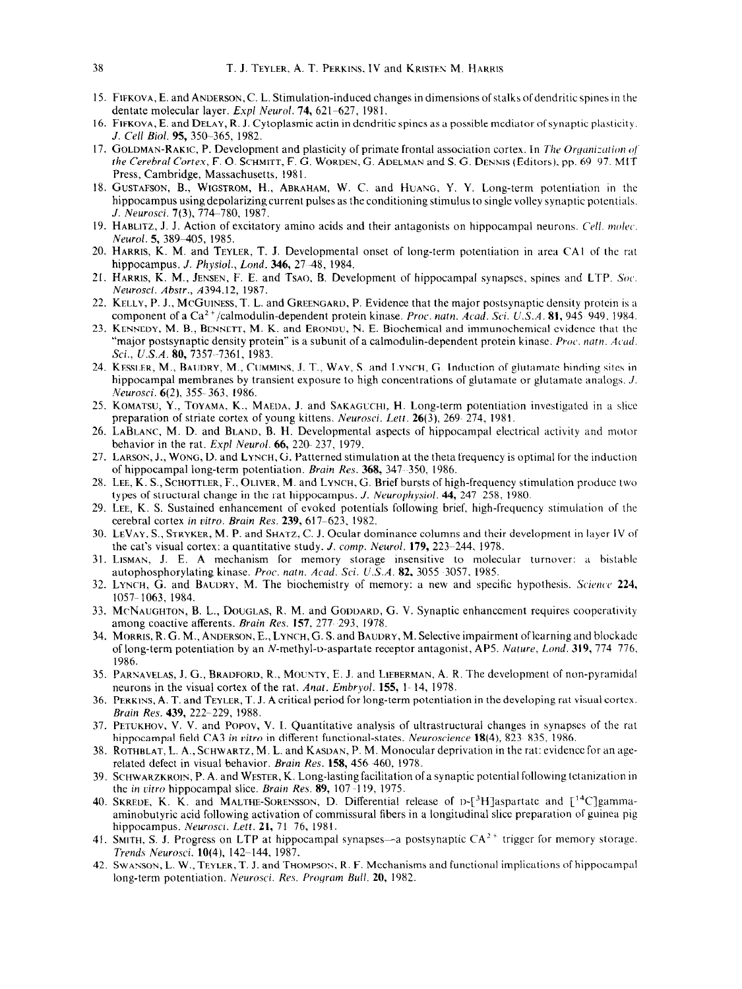- 15. FIFKOVA, E. and ANDERSON, C. L. Stimulation-induced changes in dimensions of stalks ofdendritic splncs in the dentate molecular layer. *Expl Neural.* 74, 621-627, 1981,
- 16. FIFKOVA, E. and DELAY, R. J. Cytoplasmic actin in dendritic spines as a possible mediator of synaptic plasticity. J. Cell *Bid.* 95, 35g-365, 1982.
- 17. GOLDMAN-RAKIC, P. Development and plasticity of primate frontal association cortex. In The Organization of the *Cerebral Cortex, F. O. SCHMITT, F. G. WORDEN, G. ADELMAN and S. G. DENNIS (Editors), pp. 69 97. MIT* Press, Cambridge, Massachusetts, 1981.
- 18. GUSTAFSON, B., WIGSTROM, H., ABKAHAM, W. C. and HUAXG, Y. Y. Long-term potentiation in the hippocampus using depolarizing current pulses as the conditioning stimulus to single volley synaptic potentials. J. Neurosci. **7**(3), 774-780, 1987.
- 19. HABLITZ, J. J. Action of excitatory amino acids and their antagonists on hippocampal neurons. Cell. molec, Neurol. 5, 389-405, 1985.
- 20. HARRIS, K. M. **and** TEYLER, T. J. Developmental onset of long-term potentiation in area CAI of the rat hippocampus. J. Physiol., Lond. 346, 27-48, 1984.
- 21. HARRIS, K. M., JENSEN, F. E. and TsAO, B. Development of hippocampal synapses, spines and LTP. Soc. Neurosci. *Ahstr.,* A394.12, 1987.
- 22. KELLY, P. J., MCGUINESS, T. L. and GREENCARD, P. Evidence that the major postsynaptic density protein is a component of a Ca<sup>2+</sup>/calmodulin-dependent protein kinase. *Proc. natn. Acad. Sci. U.S.A.* 81, 945-949. 1984.
- 23. KENNEDY, M. B., BENNETT, M. K. and ERONDU, N. E. Biochemical and immunochemical evidence that the "major postsynaptic density protein" is a subunit of a calmodulin-dependent protein kinase. *Proc. natn. Acad. Sci., U.S.A.* 80, 7357~-7361, 1983.
- 24. KESSLER, M., BAUURY, M., CUMMINS, J. T., WAY, S. and LYNCH, G. Induction of glutamate binding sites In hippocampal membranes by transient exposure to high concentrations of glutamate or glutamate analogs. *J.* .Neurosci. 6(2), 355-363, 1986.
- 25. KOMATSU, Y., TOYAMA, K., MAEDA, J. and SAKAGUCHI, H. Long-term potentiation investigated in a slice preparation of striate cortex of young kittens. Neurosci. Lett. 26(3), 269-274, 1981.
- 26. LABLANC, M. D. and BLAND, B. H. Developmental aspects of hippocampal electrical activity and motor behavior in the rat. *Expl Neural.* 66, 22@ 237, 1979.
- 27. LARSON, J., WONG, D. and LYNCH, G. Patterned stimulation at the theta frequency is optimal for the inductio of hippocampal long-term potentiation. *Brain Res.* 368, 347 350. 1986.
- 28. LEE, K. S., SCHOTTLER, F., OLIVER, M. and LYNCH, G. Brief bursts of high-frequency stimulation produce Iwo types of structural change in the rat hippocampus. *J. Neurophysiol*. **44,** 247 258, 1980.
- 29. LEE, K. S. Sustained enhancement of evoked potentials following brief, high-frequency stimulation of the cerebral cortex *in vitro. Bruin Res.* 239, 617-623, 1982.
- 30. LEVAY, S., STRYKER, M. P. and SHATZ, C. J. Ocular dominance columns and their development in layer IV of the cat's visual cortex: a quantitative study. J. *camp. Neural.* 179, 223--244. 1978.
- 31. Lisman, J. E. A mechanism for memory storage insensitive to molecular turnover: a bistabl autophosphorylating kinase. Proc. natn. Acad. Sci. U.S.A. 82, 3055 3057, 1985.
- 32. LYNCH, G. and BAUDRY, M. The biochemistry of memory: a new and specific hypothesis. Science 224, 1057-1063, 1984.
- 33. McNAUGHTON, B. L., DOUGLAS, R. M. and GODDARD, G. V. Synaptic enhancement requires coopcrativi among coactive afferents. *Brain Res.* 157. 277 293, 1978.
- 34. MORRIS, R. G. M.. ANDERSON, **E., LYNCH,** G. S. and BAUDRY, M. Selective impairment oflearning and blockade of long-term potentiation by an N-methyl-D-aspartate receptor antagonist, AP5. *Nuture, Land.* 319, 774 776. 1986.
- 35. PARNAVELAS, J. G., BRADFORD, R., MOUNTY, E. J. and LIEBERMAN, A. R. The development of non-pyramic neurons in the visual cortex of the rat. *Amt. Emhryol.* 155, l- 14, 1978.
- 36. PERKINS, A. T. and TEYLEK, T. J. A critical period for long-term potentiation in the developing rat visual cortex. Bruin *Res.* 439, 222-229, 1988.
- 37. PETUKHOV. V. V. and POPOV, V. 1. Quantitative analysis of ultrastructural changes in synapses of the rat hippocampal field CA3 in *vitro* in different functional-states. *Neuroscience* 18(4), 823 835. 1986.
- 38. ROTHBLAT, L. A., SCHWARTZ, M. L. and KASDAN, P. M. Monocular deprivation in the rat: evidence for an age related defect in visual behavior. Brain *Res.* 158, 456 460, 1978.
- 39. SCHWARZKROIN, P. A. and WESTEK, K. Long-lasting facilitation of a synaptic potential followmg tetamzation in the *in vitro* hippocampal slice. Brain *Res.* **89,** 107-119, 1975.
- 40. SKREDE, K. K. and MALTHE-SORENSSON, D. Differential release of D-[3H]aspartate and [<sup>14</sup>C]gamr aminobutyric acid following activation of commissural fibers in a longitudinal shcc preparation of guinea pig hippocampus. Neurosci. Lett. 21, 71-76, 1981.
- 41. SMITH, S. J. Progress on LTP at hippocampal synapses—a postsynaptic CA<sup>2+</sup> trigger for memory storage Trends Neurosci. 10(4), 142-144, 1987.
- 42. SWANSON, L. W., TEYLER, T. J. and THOMPSON, R. F. Mechanisms and functional implications of hippocampal long-term potentiation. Neurosci. *Res. Program Bull.* 20, 1982.